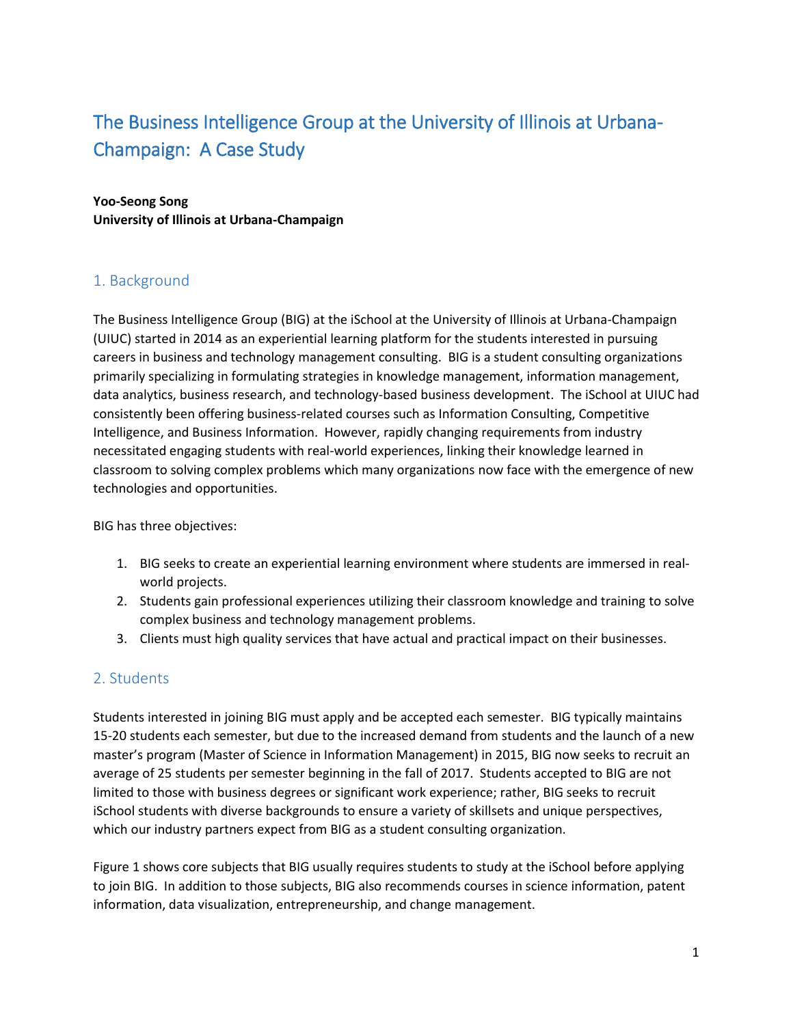# The Business Intelligence Group at the University of Illinois at Urbana-Champaign: A Case Study

#### **Yoo-Seong Song University of Illinois at Urbana-Champaign**

## 1. Background

The Business Intelligence Group (BIG) at the iSchool at the University of Illinois at Urbana-Champaign (UIUC) started in 2014 as an experiential learning platform for the students interested in pursuing careers in business and technology management consulting. BIG is a student consulting organizations primarily specializing in formulating strategies in knowledge management, information management, data analytics, business research, and technology-based business development. The iSchool at UIUC had consistently been offering business-related courses such as Information Consulting, Competitive Intelligence, and Business Information. However, rapidly changing requirements from industry necessitated engaging students with real-world experiences, linking their knowledge learned in classroom to solving complex problems which many organizations now face with the emergence of new technologies and opportunities.

BIG has three objectives:

- 1. BIG seeks to create an experiential learning environment where students are immersed in realworld projects.
- 2. Students gain professional experiences utilizing their classroom knowledge and training to solve complex business and technology management problems.
- 3. Clients must high quality services that have actual and practical impact on their businesses.

### 2. Students

Students interested in joining BIG must apply and be accepted each semester. BIG typically maintains 15-20 students each semester, but due to the increased demand from students and the launch of a new master's program (Master of Science in Information Management) in 2015, BIG now seeks to recruit an average of 25 students per semester beginning in the fall of 2017. Students accepted to BIG are not limited to those with business degrees or significant work experience; rather, BIG seeks to recruit iSchool students with diverse backgrounds to ensure a variety of skillsets and unique perspectives, which our industry partners expect from BIG as a student consulting organization.

Figure 1 shows core subjects that BIG usually requires students to study at the iSchool before applying to join BIG. In addition to those subjects, BIG also recommends courses in science information, patent information, data visualization, entrepreneurship, and change management.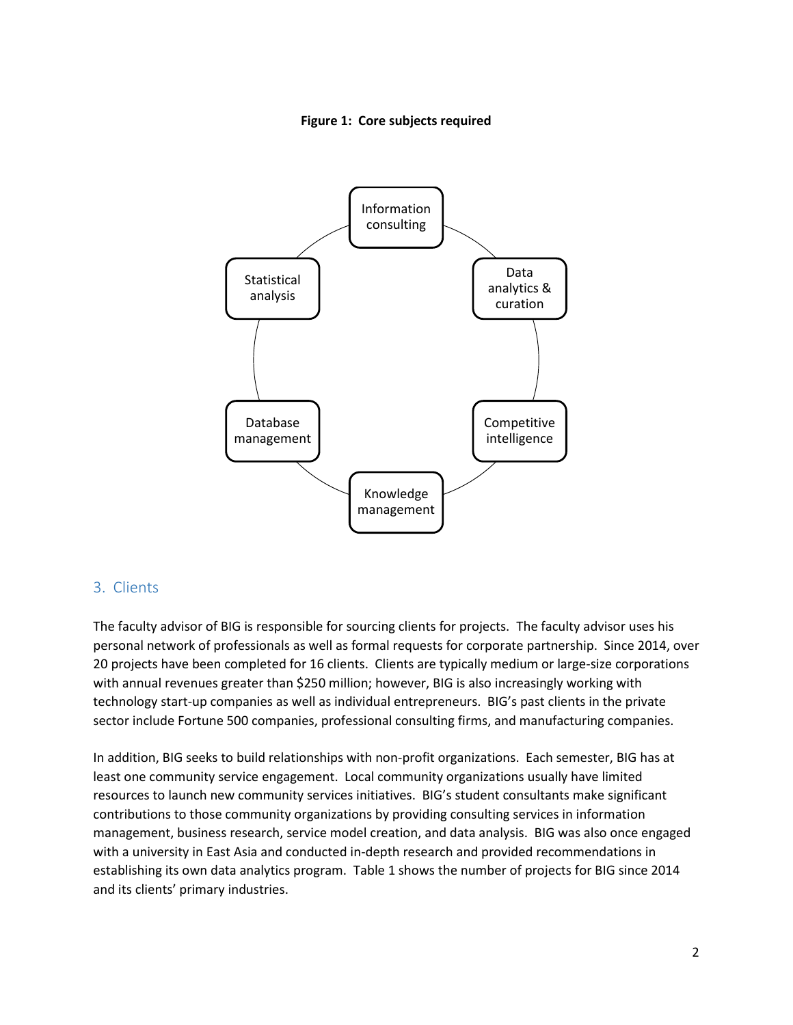



#### 3. Clients

The faculty advisor of BIG is responsible for sourcing clients for projects. The faculty advisor uses his personal network of professionals as well as formal requests for corporate partnership. Since 2014, over 20 projects have been completed for 16 clients. Clients are typically medium or large-size corporations with annual revenues greater than \$250 million; however, BIG is also increasingly working with technology start-up companies as well as individual entrepreneurs. BIG's past clients in the private sector include Fortune 500 companies, professional consulting firms, and manufacturing companies.

In addition, BIG seeks to build relationships with non-profit organizations. Each semester, BIG has at least one community service engagement. Local community organizations usually have limited resources to launch new community services initiatives. BIG's student consultants make significant contributions to those community organizations by providing consulting services in information management, business research, service model creation, and data analysis. BIG was also once engaged with a university in East Asia and conducted in-depth research and provided recommendations in establishing its own data analytics program. Table 1 shows the number of projects for BIG since 2014 and its clients' primary industries.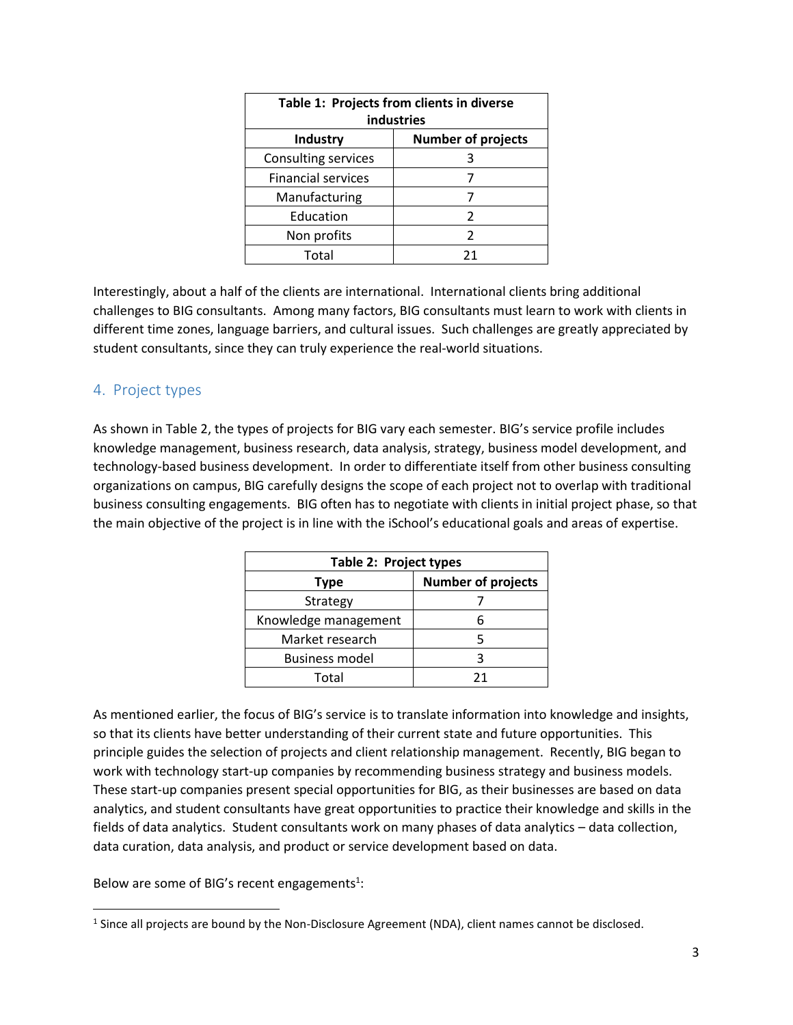| Table 1: Projects from clients in diverse |                           |  |
|-------------------------------------------|---------------------------|--|
| industries                                |                           |  |
| <b>Industry</b>                           | <b>Number of projects</b> |  |
| Consulting services                       | 3                         |  |
| <b>Financial services</b>                 | 7                         |  |
| Manufacturing                             |                           |  |
| Education                                 | 2                         |  |
| Non profits                               | 2                         |  |
| Total                                     | 21                        |  |

Interestingly, about a half of the clients are international. International clients bring additional challenges to BIG consultants. Among many factors, BIG consultants must learn to work with clients in different time zones, language barriers, and cultural issues. Such challenges are greatly appreciated by student consultants, since they can truly experience the real-world situations.

#### 4. Project types

As shown in Table 2, the types of projects for BIG vary each semester. BIG's service profile includes knowledge management, business research, data analysis, strategy, business model development, and technology-based business development. In order to differentiate itself from other business consulting organizations on campus, BIG carefully designs the scope of each project not to overlap with traditional business consulting engagements. BIG often has to negotiate with clients in initial project phase, so that the main objective of the project is in line with the iSchool's educational goals and areas of expertise.

| Table 2: Project types |                           |
|------------------------|---------------------------|
| Type                   | <b>Number of projects</b> |
| Strategy               |                           |
| Knowledge management   |                           |
| Market research        |                           |
| <b>Business model</b>  | ੨                         |
| Total                  | 71                        |

As mentioned earlier, the focus of BIG's service is to translate information into knowledge and insights, so that its clients have better understanding of their current state and future opportunities. This principle guides the selection of projects and client relationship management. Recently, BIG began to work with technology start-up companies by recommending business strategy and business models. These start-up companies present special opportunities for BIG, as their businesses are based on data analytics, and student consultants have great opportunities to practice their knowledge and skills in the fields of data analytics. Student consultants work on many phases of data analytics – data collection, data curation, data analysis, and product or service development based on data.

Below are some of BIG's recent engagements<sup>1</sup>:

 $\overline{\phantom{a}}$ 

<sup>&</sup>lt;sup>1</sup> Since all projects are bound by the Non-Disclosure Agreement (NDA), client names cannot be disclosed.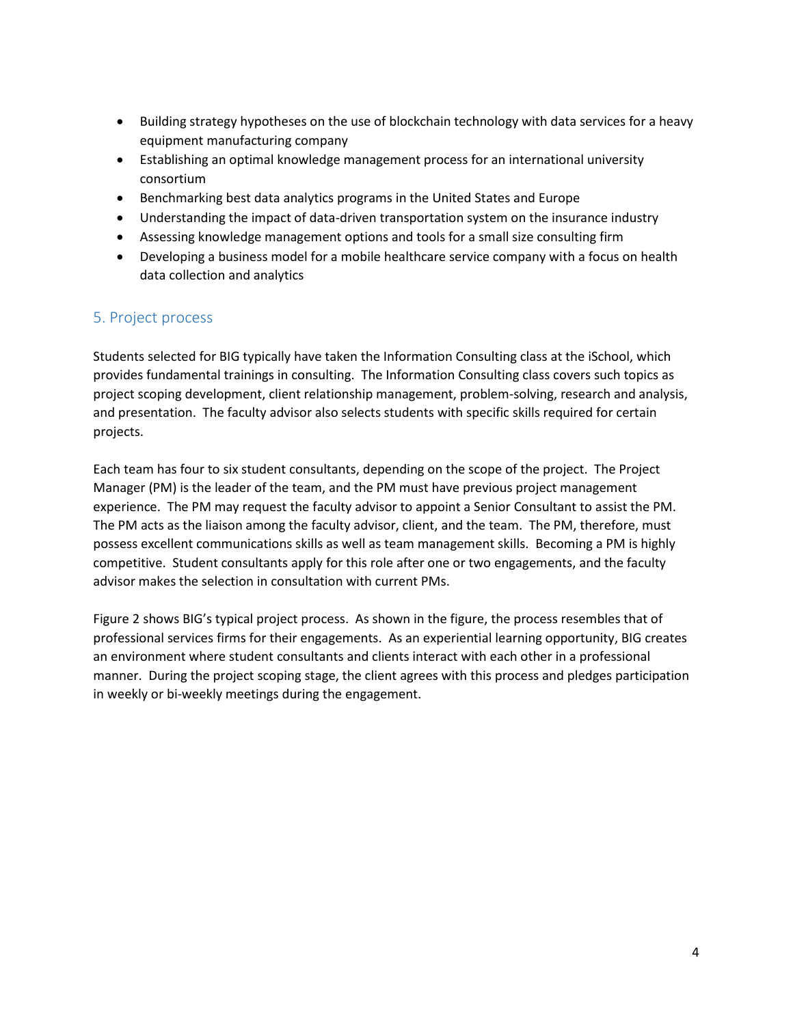- Building strategy hypotheses on the use of blockchain technology with data services for a heavy equipment manufacturing company
- Establishing an optimal knowledge management process for an international university consortium
- Benchmarking best data analytics programs in the United States and Europe
- Understanding the impact of data-driven transportation system on the insurance industry
- Assessing knowledge management options and tools for a small size consulting firm
- Developing a business model for a mobile healthcare service company with a focus on health data collection and analytics

### 5. Project process

Students selected for BIG typically have taken the Information Consulting class at the iSchool, which provides fundamental trainings in consulting. The Information Consulting class covers such topics as project scoping development, client relationship management, problem-solving, research and analysis, and presentation. The faculty advisor also selects students with specific skills required for certain projects.

Each team has four to six student consultants, depending on the scope of the project. The Project Manager (PM) is the leader of the team, and the PM must have previous project management experience. The PM may request the faculty advisor to appoint a Senior Consultant to assist the PM. The PM acts as the liaison among the faculty advisor, client, and the team. The PM, therefore, must possess excellent communications skills as well as team management skills. Becoming a PM is highly competitive. Student consultants apply for this role after one or two engagements, and the faculty advisor makes the selection in consultation with current PMs.

Figure 2 shows BIG's typical project process. As shown in the figure, the process resembles that of professional services firms for their engagements. As an experiential learning opportunity, BIG creates an environment where student consultants and clients interact with each other in a professional manner. During the project scoping stage, the client agrees with this process and pledges participation in weekly or bi-weekly meetings during the engagement.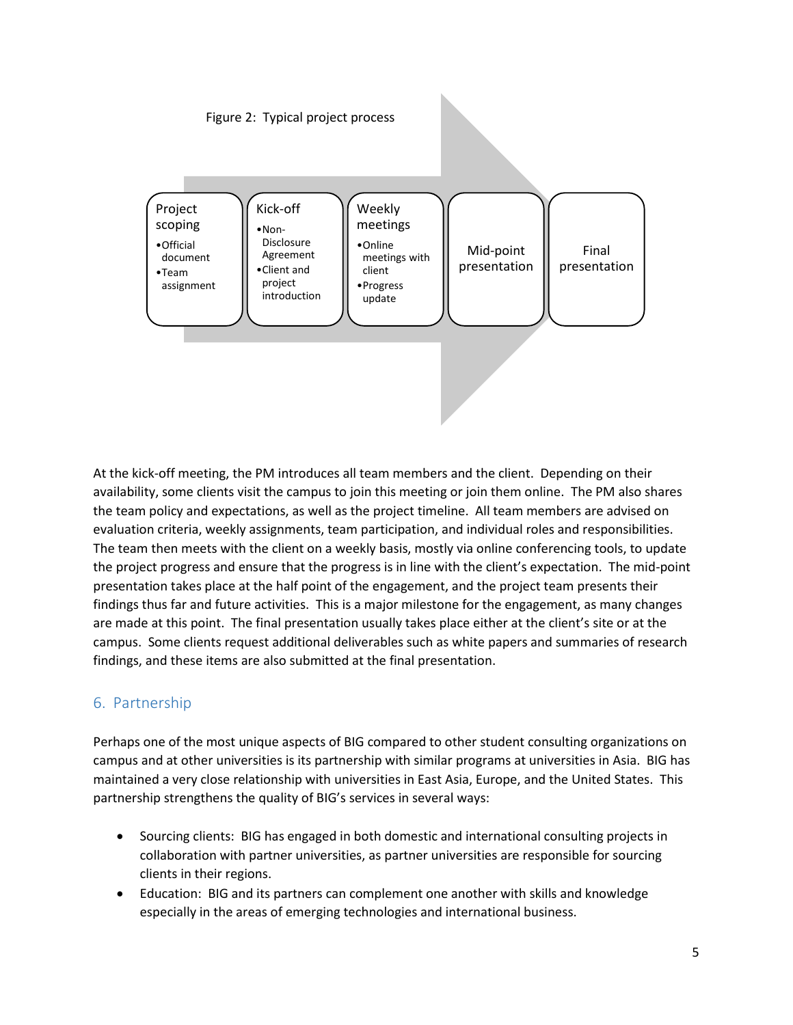Figure 2: Typical project process



At the kick-off meeting, the PM introduces all team members and the client. Depending on their availability, some clients visit the campus to join this meeting or join them online. The PM also shares the team policy and expectations, as well as the project timeline. All team members are advised on evaluation criteria, weekly assignments, team participation, and individual roles and responsibilities. The team then meets with the client on a weekly basis, mostly via online conferencing tools, to update the project progress and ensure that the progress is in line with the client's expectation. The mid-point presentation takes place at the half point of the engagement, and the project team presents their findings thus far and future activities. This is a major milestone for the engagement, as many changes are made at this point. The final presentation usually takes place either at the client's site or at the campus. Some clients request additional deliverables such as white papers and summaries of research findings, and these items are also submitted at the final presentation.

## 6. Partnership

Perhaps one of the most unique aspects of BIG compared to other student consulting organizations on campus and at other universities is its partnership with similar programs at universities in Asia. BIG has maintained a very close relationship with universities in East Asia, Europe, and the United States. This partnership strengthens the quality of BIG's services in several ways:

- Sourcing clients: BIG has engaged in both domestic and international consulting projects in collaboration with partner universities, as partner universities are responsible for sourcing clients in their regions.
- Education: BIG and its partners can complement one another with skills and knowledge especially in the areas of emerging technologies and international business.